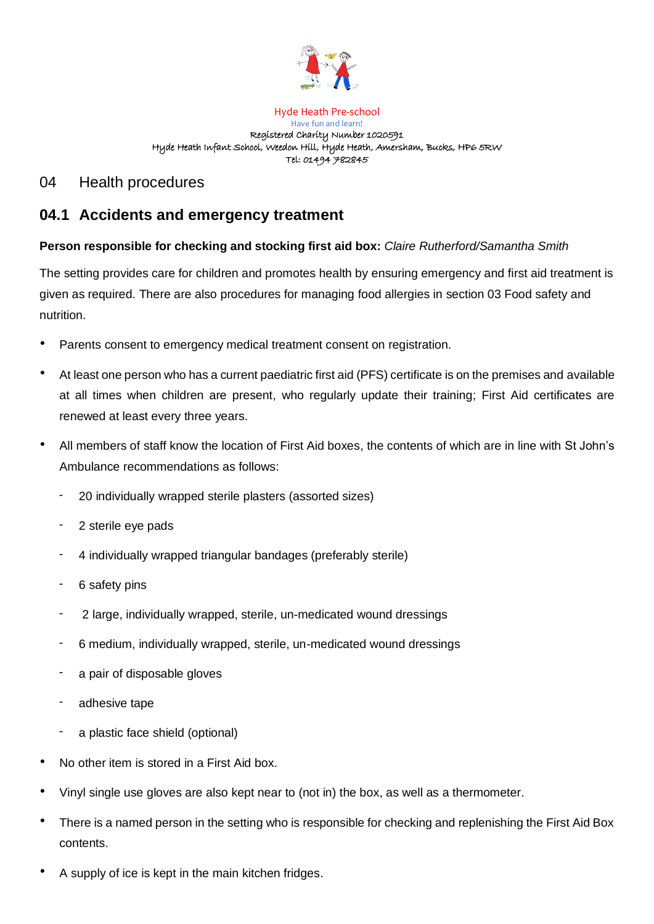

Hyde Heath Pre-school Have fun and learn! Registered Charity Number 1020591 Hyde Heath Infant School, Weedon Hill, Hyde Heath, Amersham, Bucks, HP6 5RW Tel: 01494 782845

## 04 Health procedures

# **04.1 Accidents and emergency treatment**

### **Person responsible for checking and stocking first aid box:** *Claire Rutherford/Samantha Smith*

The setting provides care for children and promotes health by ensuring emergency and first aid treatment is given as required. There are also procedures for managing food allergies in section 03 Food safety and nutrition.

- Parents consent to emergency medical treatment consent on registration.
- At least one person who has a current paediatric first aid (PFS) certificate is on the premises and available at all times when children are present, who regularly update their training; First Aid certificates are renewed at least every three years.
- All members of staff know the location of First Aid boxes, the contents of which are in line with St John's Ambulance recommendations as follows:
	- 20 individually wrapped sterile plasters (assorted sizes)
	- 2 sterile eye pads
	- 4 individually wrapped triangular bandages (preferably sterile)
	- 6 safety pins
	- 2 large, individually wrapped, sterile, un-medicated wound dressings
	- 6 medium, individually wrapped, sterile, un-medicated wound dressings
	- a pair of disposable gloves
	- adhesive tape
	- a plastic face shield (optional)
- No other item is stored in a First Aid box.
- Vinyl single use gloves are also kept near to (not in) the box, as well as a thermometer.
- There is a named person in the setting who is responsible for checking and replenishing the First Aid Box contents.
- A supply of ice is kept in the main kitchen fridges.